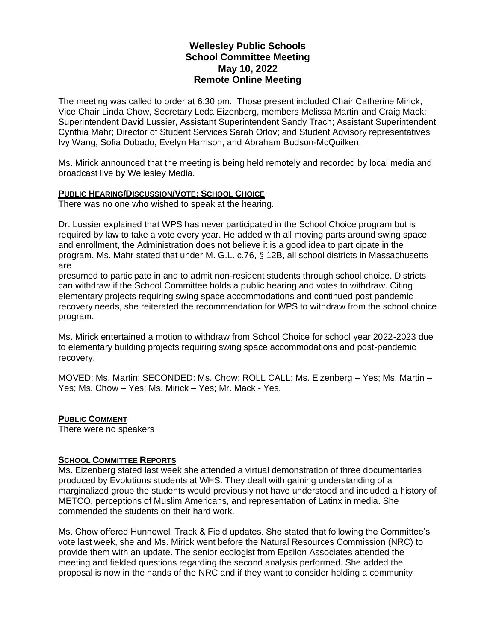# **Wellesley Public Schools School Committee Meeting May 10, 2022 Remote Online Meeting**

The meeting was called to order at 6:30 pm. Those present included Chair Catherine Mirick, Vice Chair Linda Chow, Secretary Leda Eizenberg, members Melissa Martin and Craig Mack; Superintendent David Lussier, Assistant Superintendent Sandy Trach; Assistant Superintendent Cynthia Mahr; Director of Student Services Sarah Orlov; and Student Advisory representatives Ivy Wang, Sofia Dobado, Evelyn Harrison, and Abraham Budson-McQuilken.

Ms. Mirick announced that the meeting is being held remotely and recorded by local media and broadcast live by Wellesley Media.

## **PUBLIC HEARING/DISCUSSION/VOTE: SCHOOL CHOICE**

There was no one who wished to speak at the hearing.

Dr. Lussier explained that WPS has never participated in the School Choice program but is required by law to take a vote every year. He added with all moving parts around swing space and enrollment, the Administration does not believe it is a good idea to participate in the program. Ms. Mahr stated that under M. G.L. c.76, § 12B, all school districts in Massachusetts are

presumed to participate in and to admit non-resident students through school choice. Districts can withdraw if the School Committee holds a public hearing and votes to withdraw. Citing elementary projects requiring swing space accommodations and continued post pandemic recovery needs, she reiterated the recommendation for WPS to withdraw from the school choice program.

Ms. Mirick entertained a motion to withdraw from School Choice for school year 2022-2023 due to elementary building projects requiring swing space accommodations and post-pandemic recovery.

MOVED: Ms. Martin; SECONDED: Ms. Chow; ROLL CALL: Ms. Eizenberg – Yes; Ms. Martin – Yes; Ms. Chow – Yes; Ms. Mirick – Yes; Mr. Mack - Yes.

## **PUBLIC COMMENT**

There were no speakers

## **SCHOOL COMMITTEE REPORTS**

Ms. Eizenberg stated last week she attended a virtual demonstration of three documentaries produced by Evolutions students at WHS. They dealt with gaining understanding of a marginalized group the students would previously not have understood and included a history of METCO, perceptions of Muslim Americans, and representation of Latinx in media. She commended the students on their hard work.

Ms. Chow offered Hunnewell Track & Field updates. She stated that following the Committee's vote last week, she and Ms. Mirick went before the Natural Resources Commission (NRC) to provide them with an update. The senior ecologist from Epsilon Associates attended the meeting and fielded questions regarding the second analysis performed. She added the proposal is now in the hands of the NRC and if they want to consider holding a community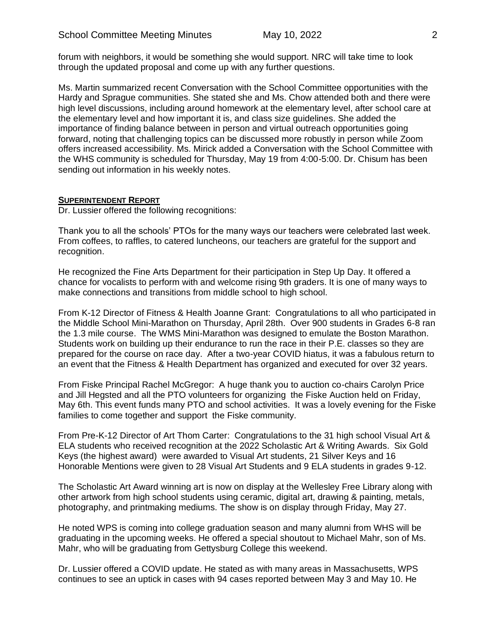forum with neighbors, it would be something she would support. NRC will take time to look through the updated proposal and come up with any further questions.

Ms. Martin summarized recent Conversation with the School Committee opportunities with the Hardy and Sprague communities. She stated she and Ms. Chow attended both and there were high level discussions, including around homework at the elementary level, after school care at the elementary level and how important it is, and class size guidelines. She added the importance of finding balance between in person and virtual outreach opportunities going forward, noting that challenging topics can be discussed more robustly in person while Zoom offers increased accessibility. Ms. Mirick added a Conversation with the School Committee with the WHS community is scheduled for Thursday, May 19 from 4:00-5:00. Dr. Chisum has been sending out information in his weekly notes.

## **SUPERINTENDENT REPORT**

Dr. Lussier offered the following recognitions:

Thank you to all the schools' PTOs for the many ways our teachers were celebrated last week. From coffees, to raffles, to catered luncheons, our teachers are grateful for the support and recognition.

He recognized the Fine Arts Department for their participation in Step Up Day. It offered a chance for vocalists to perform with and welcome rising 9th graders. It is one of many ways to make connections and transitions from middle school to high school.

From K-12 Director of Fitness & Health Joanne Grant: Congratulations to all who participated in the Middle School Mini-Marathon on Thursday, April 28th. Over 900 students in Grades 6-8 ran the 1.3 mile course. The WMS Mini-Marathon was designed to emulate the Boston Marathon. Students work on building up their endurance to run the race in their P.E. classes so they are prepared for the course on race day. After a two-year COVID hiatus, it was a fabulous return to an event that the Fitness & Health Department has organized and executed for over 32 years.

From Fiske Principal Rachel McGregor: A huge thank you to auction co-chairs Carolyn Price and Jill Hegsted and all the PTO volunteers for organizing the Fiske Auction held on Friday, May 6th. This event funds many PTO and school activities. It was a lovely evening for the Fiske families to come together and support the Fiske community.

From Pre-K-12 Director of Art Thom Carter: Congratulations to the 31 high school Visual Art & ELA students who received recognition at the 2022 Scholastic Art & Writing Awards. Six Gold Keys (the highest award) were awarded to Visual Art students, 21 Silver Keys and 16 Honorable Mentions were given to 28 Visual Art Students and 9 ELA students in grades 9-12.

The Scholastic Art Award winning art is now on display at the Wellesley Free Library along with other artwork from high school students using ceramic, digital art, drawing & painting, metals, photography, and printmaking mediums. The show is on display through Friday, May 27.

He noted WPS is coming into college graduation season and many alumni from WHS will be graduating in the upcoming weeks. He offered a special shoutout to Michael Mahr, son of Ms. Mahr, who will be graduating from Gettysburg College this weekend.

Dr. Lussier offered a COVID update. He stated as with many areas in Massachusetts, WPS continues to see an uptick in cases with 94 cases reported between May 3 and May 10. He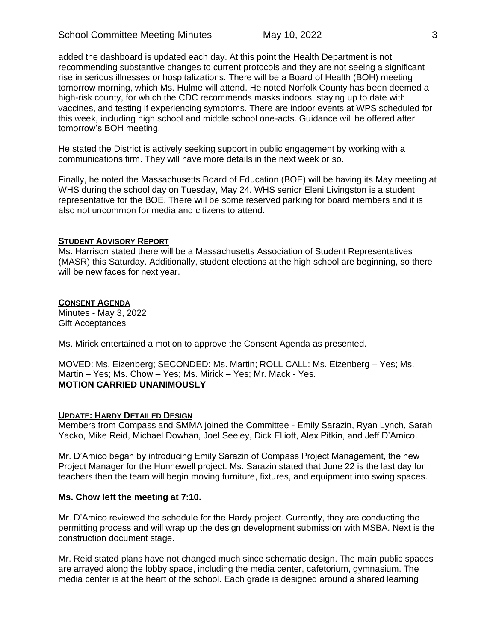added the dashboard is updated each day. At this point the Health Department is not recommending substantive changes to current protocols and they are not seeing a significant rise in serious illnesses or hospitalizations. There will be a Board of Health (BOH) meeting tomorrow morning, which Ms. Hulme will attend. He noted Norfolk County has been deemed a high-risk county, for which the CDC recommends masks indoors, staying up to date with vaccines, and testing if experiencing symptoms. There are indoor events at WPS scheduled for this week, including high school and middle school one-acts. Guidance will be offered after tomorrow's BOH meeting.

He stated the District is actively seeking support in public engagement by working with a communications firm. They will have more details in the next week or so.

Finally, he noted the Massachusetts Board of Education (BOE) will be having its May meeting at WHS during the school day on Tuesday, May 24. WHS senior Eleni Livingston is a student representative for the BOE. There will be some reserved parking for board members and it is also not uncommon for media and citizens to attend.

## **STUDENT ADVISORY REPORT**

Ms. Harrison stated there will be a Massachusetts Association of Student Representatives (MASR) this Saturday. Additionally, student elections at the high school are beginning, so there will be new faces for next year.

## **CONSENT AGENDA**

Minutes - May 3, 2022 Gift Acceptances

Ms. Mirick entertained a motion to approve the Consent Agenda as presented.

MOVED: Ms. Eizenberg; SECONDED: Ms. Martin; ROLL CALL: Ms. Eizenberg – Yes; Ms. Martin – Yes; Ms. Chow – Yes; Ms. Mirick – Yes; Mr. Mack - Yes. **MOTION CARRIED UNANIMOUSLY**

## **UPDATE: HARDY DETAILED DESIGN**

Members from Compass and SMMA joined the Committee - Emily Sarazin, Ryan Lynch, Sarah Yacko, Mike Reid, Michael Dowhan, Joel Seeley, Dick Elliott, Alex Pitkin, and Jeff D'Amico.

Mr. D'Amico began by introducing Emily Sarazin of Compass Project Management, the new Project Manager for the Hunnewell project. Ms. Sarazin stated that June 22 is the last day for teachers then the team will begin moving furniture, fixtures, and equipment into swing spaces.

## **Ms. Chow left the meeting at 7:10.**

Mr. D'Amico reviewed the schedule for the Hardy project. Currently, they are conducting the permitting process and will wrap up the design development submission with MSBA. Next is the construction document stage.

Mr. Reid stated plans have not changed much since schematic design. The main public spaces are arrayed along the lobby space, including the media center, cafetorium, gymnasium. The media center is at the heart of the school. Each grade is designed around a shared learning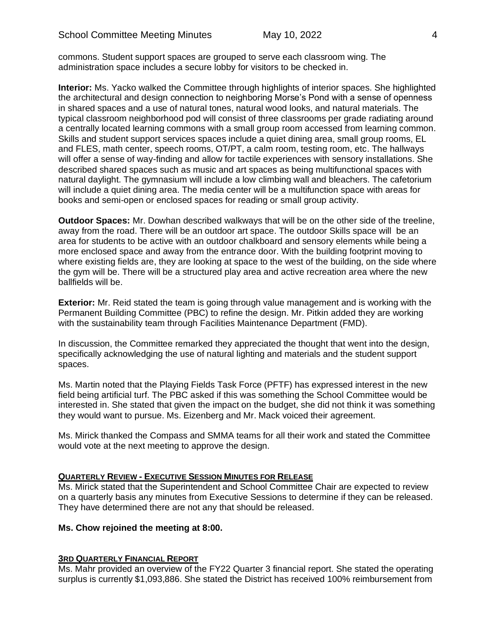commons. Student support spaces are grouped to serve each classroom wing. The administration space includes a secure lobby for visitors to be checked in.

**Interior:** Ms. Yacko walked the Committee through highlights of interior spaces. She highlighted the architectural and design connection to neighboring Morse's Pond with a sense of openness in shared spaces and a use of natural tones, natural wood looks, and natural materials. The typical classroom neighborhood pod will consist of three classrooms per grade radiating around a centrally located learning commons with a small group room accessed from learning common. Skills and student support services spaces include a quiet dining area, small group rooms, EL and FLES, math center, speech rooms, OT/PT, a calm room, testing room, etc. The hallways will offer a sense of way-finding and allow for tactile experiences with sensory installations. She described shared spaces such as music and art spaces as being multifunctional spaces with natural daylight. The gymnasium will include a low climbing wall and bleachers. The cafetorium will include a quiet dining area. The media center will be a multifunction space with areas for books and semi-open or enclosed spaces for reading or small group activity.

**Outdoor Spaces:** Mr. Dowhan described walkways that will be on the other side of the treeline, away from the road. There will be an outdoor art space. The outdoor Skills space will be an area for students to be active with an outdoor chalkboard and sensory elements while being a more enclosed space and away from the entrance door. With the building footprint moving to where existing fields are, they are looking at space to the west of the building, on the side where the gym will be. There will be a structured play area and active recreation area where the new ballfields will be.

**Exterior:** Mr. Reid stated the team is going through value management and is working with the Permanent Building Committee (PBC) to refine the design. Mr. Pitkin added they are working with the sustainability team through Facilities Maintenance Department (FMD).

In discussion, the Committee remarked they appreciated the thought that went into the design, specifically acknowledging the use of natural lighting and materials and the student support spaces.

Ms. Martin noted that the Playing Fields Task Force (PFTF) has expressed interest in the new field being artificial turf. The PBC asked if this was something the School Committee would be interested in. She stated that given the impact on the budget, she did not think it was something they would want to pursue. Ms. Eizenberg and Mr. Mack voiced their agreement.

Ms. Mirick thanked the Compass and SMMA teams for all their work and stated the Committee would vote at the next meeting to approve the design.

#### **QUARTERLY REVIEW - EXECUTIVE SESSION MINUTES FOR RELEASE**

Ms. Mirick stated that the Superintendent and School Committee Chair are expected to review on a quarterly basis any minutes from Executive Sessions to determine if they can be released. They have determined there are not any that should be released.

## **Ms. Chow rejoined the meeting at 8:00.**

#### **3RD QUARTERLY FINANCIAL REPORT**

Ms. Mahr provided an overview of the FY22 Quarter 3 financial report. She stated the operating surplus is currently \$1,093,886. She stated the District has received 100% reimbursement from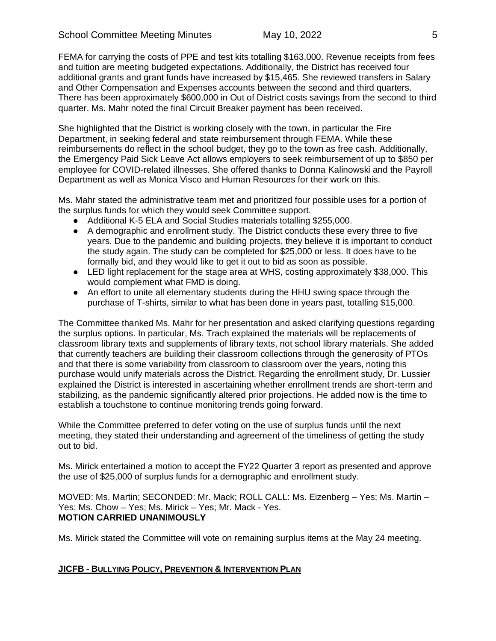FEMA for carrying the costs of PPE and test kits totalling \$163,000. Revenue receipts from fees and tuition are meeting budgeted expectations. Additionally, the District has received four additional grants and grant funds have increased by \$15,465. She reviewed transfers in Salary and Other Compensation and Expenses accounts between the second and third quarters. There has been approximately \$600,000 in Out of District costs savings from the second to third quarter. Ms. Mahr noted the final Circuit Breaker payment has been received.

She highlighted that the District is working closely with the town, in particular the Fire Department, in seeking federal and state reimbursement through FEMA. While these reimbursements do reflect in the school budget, they go to the town as free cash. Additionally, the Emergency Paid Sick Leave Act allows employers to seek reimbursement of up to \$850 per employee for COVID-related illnesses. She offered thanks to Donna Kalinowski and the Payroll Department as well as Monica Visco and Human Resources for their work on this.

Ms. Mahr stated the administrative team met and prioritized four possible uses for a portion of the surplus funds for which they would seek Committee support.

- Additional K-5 ELA and Social Studies materials totalling \$255,000.
- A demographic and enrollment study. The District conducts these every three to five years. Due to the pandemic and building projects, they believe it is important to conduct the study again. The study can be completed for \$25,000 or less. It does have to be formally bid, and they would like to get it out to bid as soon as possible.
- LED light replacement for the stage area at WHS, costing approximately \$38,000. This would complement what FMD is doing.
- An effort to unite all elementary students during the HHU swing space through the purchase of T-shirts, similar to what has been done in years past, totalling \$15,000.

The Committee thanked Ms. Mahr for her presentation and asked clarifying questions regarding the surplus options. In particular, Ms. Trach explained the materials will be replacements of classroom library texts and supplements of library texts, not school library materials. She added that currently teachers are building their classroom collections through the generosity of PTOs and that there is some variability from classroom to classroom over the years, noting this purchase would unify materials across the District. Regarding the enrollment study, Dr. Lussier explained the District is interested in ascertaining whether enrollment trends are short-term and stabilizing, as the pandemic significantly altered prior projections. He added now is the time to establish a touchstone to continue monitoring trends going forward.

While the Committee preferred to defer voting on the use of surplus funds until the next meeting, they stated their understanding and agreement of the timeliness of getting the study out to bid.

Ms. Mirick entertained a motion to accept the FY22 Quarter 3 report as presented and approve the use of \$25,000 of surplus funds for a demographic and enrollment study.

MOVED: Ms. Martin; SECONDED: Mr. Mack; ROLL CALL: Ms. Eizenberg – Yes; Ms. Martin – Yes; Ms. Chow – Yes; Ms. Mirick – Yes; Mr. Mack - Yes. **MOTION CARRIED UNANIMOUSLY**

Ms. Mirick stated the Committee will vote on remaining surplus items at the May 24 meeting.

## **JICFB - BULLYING POLICY, PREVENTION & INTERVENTION PLAN**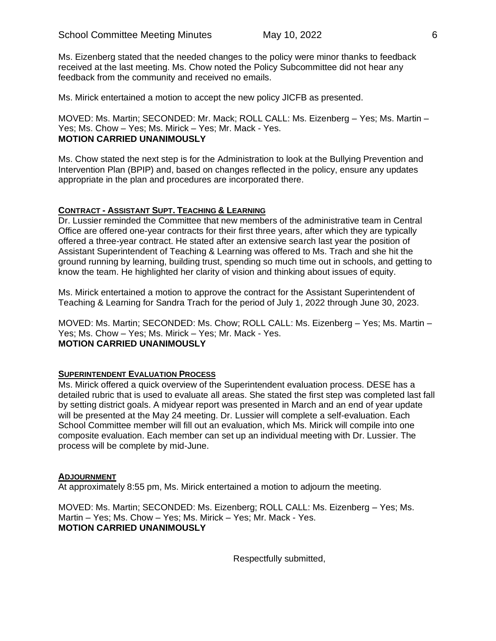Ms. Eizenberg stated that the needed changes to the policy were minor thanks to feedback received at the last meeting. Ms. Chow noted the Policy Subcommittee did not hear any feedback from the community and received no emails.

Ms. Mirick entertained a motion to accept the new policy JICFB as presented.

MOVED: Ms. Martin; SECONDED: Mr. Mack; ROLL CALL: Ms. Eizenberg – Yes; Ms. Martin – Yes; Ms. Chow – Yes; Ms. Mirick – Yes; Mr. Mack - Yes. **MOTION CARRIED UNANIMOUSLY**

Ms. Chow stated the next step is for the Administration to look at the Bullying Prevention and Intervention Plan (BPIP) and, based on changes reflected in the policy, ensure any updates appropriate in the plan and procedures are incorporated there.

## **CONTRACT - ASSISTANT SUPT. TEACHING & LEARNING**

Dr. Lussier reminded the Committee that new members of the administrative team in Central Office are offered one-year contracts for their first three years, after which they are typically offered a three-year contract. He stated after an extensive search last year the position of Assistant Superintendent of Teaching & Learning was offered to Ms. Trach and she hit the ground running by learning, building trust, spending so much time out in schools, and getting to know the team. He highlighted her clarity of vision and thinking about issues of equity.

Ms. Mirick entertained a motion to approve the contract for the Assistant Superintendent of Teaching & Learning for Sandra Trach for the period of July 1, 2022 through June 30, 2023.

MOVED: Ms. Martin; SECONDED: Ms. Chow; ROLL CALL: Ms. Eizenberg – Yes; Ms. Martin – Yes; Ms. Chow – Yes; Ms. Mirick – Yes; Mr. Mack - Yes. **MOTION CARRIED UNANIMOUSLY**

#### **SUPERINTENDENT EVALUATION PROCESS**

Ms. Mirick offered a quick overview of the Superintendent evaluation process. DESE has a detailed rubric that is used to evaluate all areas. She stated the first step was completed last fall by setting district goals. A midyear report was presented in March and an end of year update will be presented at the May 24 meeting. Dr. Lussier will complete a self-evaluation. Each School Committee member will fill out an evaluation, which Ms. Mirick will compile into one composite evaluation. Each member can set up an individual meeting with Dr. Lussier. The process will be complete by mid-June.

#### **ADJOURNMENT**

At approximately 8:55 pm, Ms. Mirick entertained a motion to adjourn the meeting.

MOVED: Ms. Martin; SECONDED: Ms. Eizenberg; ROLL CALL: Ms. Eizenberg – Yes; Ms. Martin – Yes; Ms. Chow – Yes; Ms. Mirick – Yes; Mr. Mack - Yes. **MOTION CARRIED UNANIMOUSLY**

Respectfully submitted,